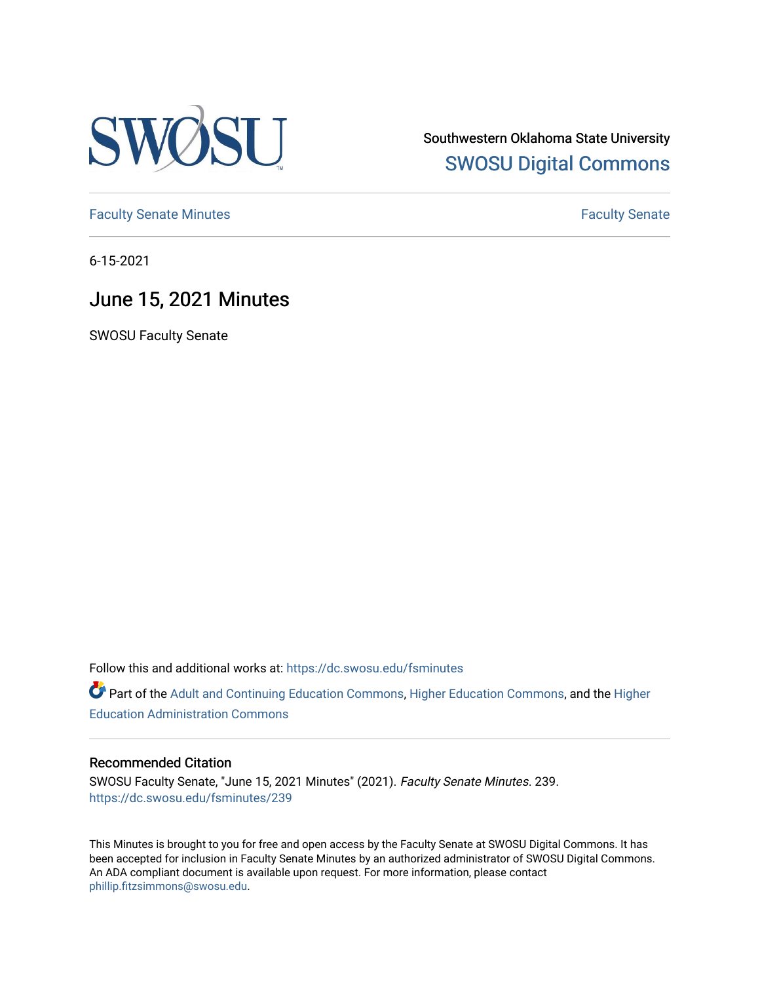

Southwestern Oklahoma State University [SWOSU Digital Commons](https://dc.swosu.edu/) 

[Faculty Senate Minutes](https://dc.swosu.edu/fsminutes) **Faculty** Senate Minutes

6-15-2021

# June 15, 2021 Minutes

SWOSU Faculty Senate

Follow this and additional works at: [https://dc.swosu.edu/fsminutes](https://dc.swosu.edu/fsminutes?utm_source=dc.swosu.edu%2Ffsminutes%2F239&utm_medium=PDF&utm_campaign=PDFCoverPages) 

Part of the [Adult and Continuing Education Commons,](http://network.bepress.com/hgg/discipline/1375?utm_source=dc.swosu.edu%2Ffsminutes%2F239&utm_medium=PDF&utm_campaign=PDFCoverPages) [Higher Education Commons,](http://network.bepress.com/hgg/discipline/1245?utm_source=dc.swosu.edu%2Ffsminutes%2F239&utm_medium=PDF&utm_campaign=PDFCoverPages) and the [Higher](http://network.bepress.com/hgg/discipline/791?utm_source=dc.swosu.edu%2Ffsminutes%2F239&utm_medium=PDF&utm_campaign=PDFCoverPages) [Education Administration Commons](http://network.bepress.com/hgg/discipline/791?utm_source=dc.swosu.edu%2Ffsminutes%2F239&utm_medium=PDF&utm_campaign=PDFCoverPages) 

#### Recommended Citation

SWOSU Faculty Senate, "June 15, 2021 Minutes" (2021). Faculty Senate Minutes. 239. [https://dc.swosu.edu/fsminutes/239](https://dc.swosu.edu/fsminutes/239?utm_source=dc.swosu.edu%2Ffsminutes%2F239&utm_medium=PDF&utm_campaign=PDFCoverPages) 

This Minutes is brought to you for free and open access by the Faculty Senate at SWOSU Digital Commons. It has been accepted for inclusion in Faculty Senate Minutes by an authorized administrator of SWOSU Digital Commons. An ADA compliant document is available upon request. For more information, please contact [phillip.fitzsimmons@swosu.edu](mailto:phillip.fitzsimmons@swosu.edu).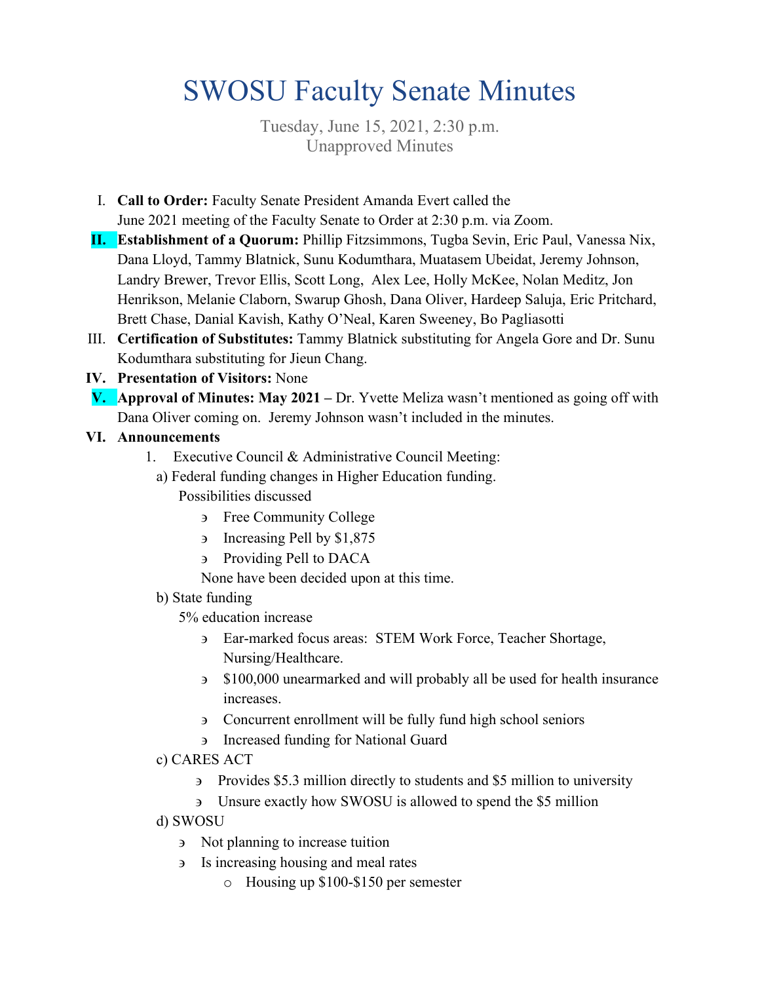# SWOSU Faculty Senate Minutes

Tuesday, June 15, 2021, 2:30 p.m. Unapproved Minutes

- I. **Call to Order:** Faculty Senate President Amanda Evert called the June 2021 meeting of the Faculty Senate to Order at 2:30 p.m. via Zoom.
- **II. Establishment of a Quorum:** Phillip Fitzsimmons, Tugba Sevin, Eric Paul, Vanessa Nix, Dana Lloyd, Tammy Blatnick, Sunu Kodumthara, Muatasem Ubeidat, Jeremy Johnson, Landry Brewer, Trevor Ellis, Scott Long, Alex Lee, Holly McKee, Nolan Meditz, Jon Henrikson, Melanie Claborn, Swarup Ghosh, Dana Oliver, Hardeep Saluja, Eric Pritchard, Brett Chase, Danial Kavish, Kathy O'Neal, Karen Sweeney, Bo Pagliasotti
- III. **Certification of Substitutes:** Tammy Blatnick substituting for Angela Gore and Dr. Sunu Kodumthara substituting for Jieun Chang.
- **IV. Presentation of Visitors:** None
- **V. Approval of Minutes: May 2021** Dr. Yvette Meliza wasn't mentioned as going off with Dana Oliver coming on. Jeremy Johnson wasn't included in the minutes.

# **VI. Announcements**

- 1. Executive Council & Administrative Council Meeting:
	- a) Federal funding changes in Higher Education funding.
		- Possibilities discussed
			- ∋ Free Community College
			- ∋ Increasing Pell by \$1,875
			- ∋ Providing Pell to DACA
			- None have been decided upon at this time.

#### b) State funding

5% education increase

- ∋ Ear-marked focus areas: STEM Work Force, Teacher Shortage, Nursing/Healthcare.
- ∋ \$100,000 unearmarked and will probably all be used for health insurance increases.
- ∋ Concurrent enrollment will be fully fund high school seniors
- ∋ Increased funding for National Guard
- c) CARES ACT
	- ∋ Provides \$5.3 million directly to students and \$5 million to university
	- ∋ Unsure exactly how SWOSU is allowed to spend the \$5 million
- d) SWOSU
	- ∋ Not planning to increase tuition
	- ∋ Is increasing housing and meal rates
		- o Housing up \$100-\$150 per semester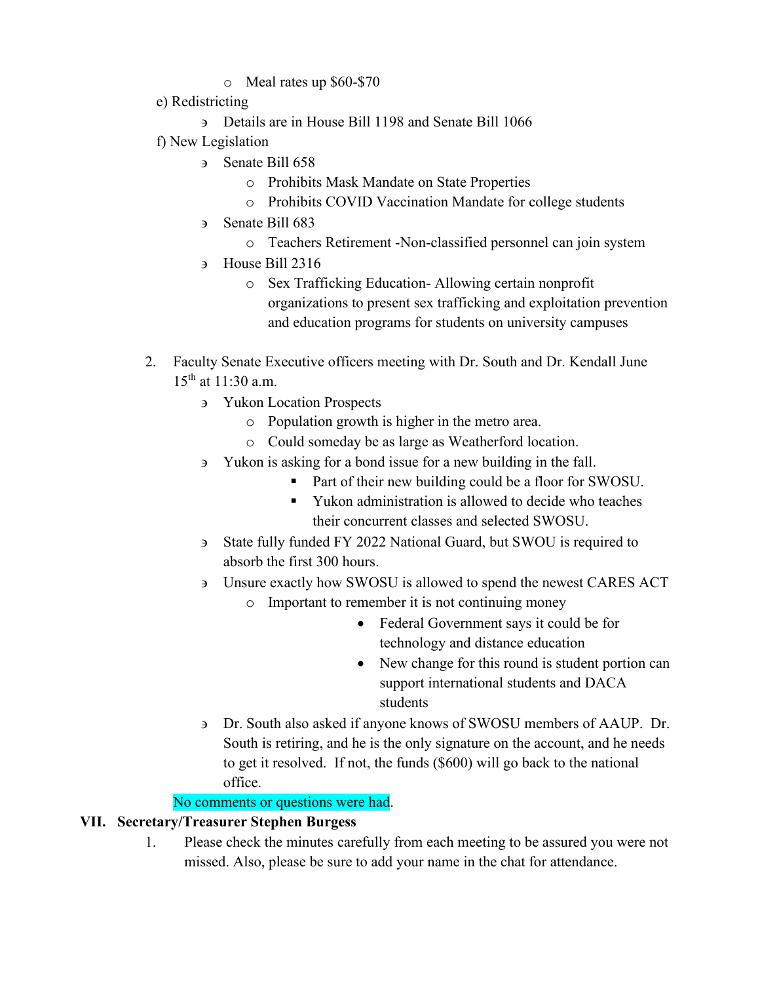## o Meal rates up \$60-\$70

- e) Redistricting
	- ∋ Details are in House Bill 1198 and Senate Bill 1066
- f) New Legislation
	- ∋ Senate Bill 658
		- o Prohibits Mask Mandate on State Properties
		- o Prohibits COVID Vaccination Mandate for college students
	- ∋ Senate Bill 683
		- o Teachers Retirement -Non-classified personnel can join system
	- ∋ House Bill 2316
		- o Sex Trafficking Education- Allowing certain nonprofit organizations to present sex trafficking and exploitation prevention and education programs for students on university campuses
- 2. Faculty Senate Executive officers meeting with Dr. South and Dr. Kendall June 15th at 11:30 a.m.
	- ∋ Yukon Location Prospects
		- o Population growth is higher in the metro area.
		- o Could someday be as large as Weatherford location.
	- ∋ Yukon is asking for a bond issue for a new building in the fall.
		- Part of their new building could be a floor for SWOSU.
		- Yukon administration is allowed to decide who teaches their concurrent classes and selected SWOSU.
	- ∋ State fully funded FY 2022 National Guard, but SWOU is required to absorb the first 300 hours.
	- ∋ Unsure exactly how SWOSU is allowed to spend the newest CARES ACT
		- o Important to remember it is not continuing money
			- Federal Government says it could be for technology and distance education
			- New change for this round is student portion can support international students and DACA students
	- ∋ Dr. South also asked if anyone knows of SWOSU members of AAUP. Dr. South is retiring, and he is the only signature on the account, and he needs to get it resolved. If not, the funds (\$600) will go back to the national office.

No comments or questions were had.

# **VII. Secretary/Treasurer Stephen Burgess**

1. Please check the minutes carefully from each meeting to be assured you were not missed. Also, please be sure to add your name in the chat for attendance.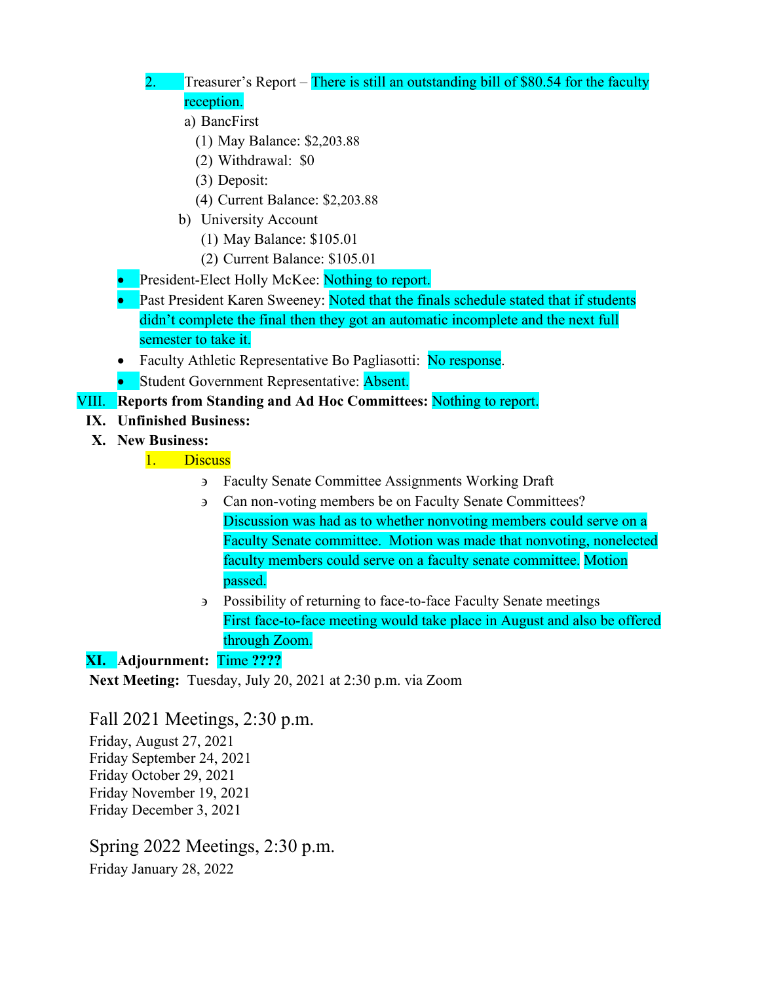# 2. Treasurer's Report – There is still an outstanding bill of \$80.54 for the faculty reception.

- a) BancFirst
	- (1) May Balance: \$2,203.88
	- (2) Withdrawal: \$0
	- (3) Deposit:
	- (4) Current Balance: \$2,203.88
- b) University Account
	- (1) May Balance: \$105.01
	- (2) Current Balance: \$105.01
- **President-Elect Holly McKee:** Nothing to report.
- **Past President Karen Sweeney: Noted that the finals schedule stated that if students** didn't complete the final then they got an automatic incomplete and the next full semester to take it.
- Faculty Athletic Representative Bo Pagliasotti: No response.
- Student Government Representative: Absent.

### VIII. **Reports from Standing and Ad Hoc Committees:** Nothing to report.

- **IX. Unfinished Business:**
- **X. New Business:**

1. Discuss

- ∋ Faculty Senate Committee Assignments Working Draft
- ∋ Can non-voting members be on Faculty Senate Committees? Discussion was had as to whether nonvoting members could serve on a Faculty Senate committee. Motion was made that nonvoting, nonelected faculty members could serve on a faculty senate committee. Motion passed.
- ∋ Possibility of returning to face-to-face Faculty Senate meetings First face-to-face meeting would take place in August and also be offered through Zoom.

# **XI. Adjournment:** Time **????**

**Next Meeting:** Tuesday, July 20, 2021 at 2:30 p.m. via Zoom

Fall 2021 Meetings, 2:30 p.m.

Friday, August 27, 2021 Friday September 24, 2021 Friday October 29, 2021 Friday November 19, 2021 Friday December 3, 2021

# Spring 2022 Meetings, 2:30 p.m.

Friday January 28, 2022